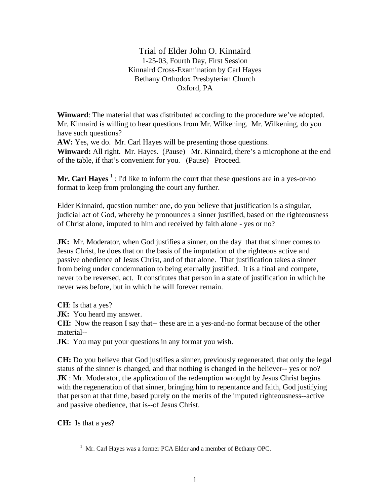Trial of Elder John O. Kinnaird 1-25-03, Fourth Day, First Session Kinnaird Cross-Examination by Carl Hayes Bethany Orthodox Presbyterian Church Oxford, PA

**Winward**: The material that was distributed according to the procedure we've adopted. Mr. Kinnaird is willing to hear questions from Mr. Wilkening. Mr. Wilkening, do you have such questions?

**AW:** Yes, we do. Mr. Carl Hayes will be presenting those questions.

**Winward:** All right. Mr. Hayes. (Pause) Mr. Kinnaird, there's a microphone at the end of the table, if that's convenient for you. (Pause) Proceed.

**Mr. Carl Hayes** <sup>1</sup>: I'd like to inform the court that these questions are in a yes-or-no format to keep from prolonging the court any further.

Elder Kinnaird, question number one, do you believe that justification is a singular, judicial act of God, whereby he pronounces a sinner justified, based on the righteousness of Christ alone, imputed to him and received by faith alone - yes or no?

**JK:** Mr. Moderator, when God justifies a sinner, on the day that that sinner comes to Jesus Christ, he does that on the basis of the imputation of the righteous active and passive obedience of Jesus Christ, and of that alone. That justification takes a sinner from being under condemnation to being eternally justified. It is a final and compete, never to be reversed, act. It constitutes that person in a state of justification in which he never was before, but in which he will forever remain.

**CH**: Is that a yes?

**JK:** You heard my answer.

**CH:** Now the reason I say that-- these are in a yes-and-no format because of the other material--

**JK**: You may put your questions in any format you wish.

**CH:** Do you believe that God justifies a sinner, previously regenerated, that only the legal status of the sinner is changed, and that nothing is changed in the believer-- yes or no? **JK** : Mr. Moderator, the application of the redemption wrought by Jesus Christ begins with the regeneration of that sinner, bringing him to repentance and faith, God justifying that person at that time, based purely on the merits of the imputed righteousness--active and passive obedience, that is--of Jesus Christ.

**CH:** Is that a yes?

 $\overline{a}$ 

<sup>&</sup>lt;sup>1</sup> Mr. Carl Hayes was a former PCA Elder and a member of Bethany OPC.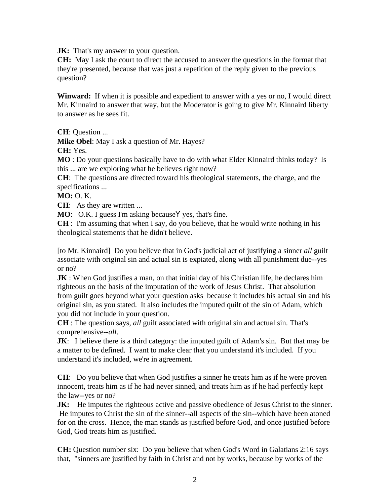**JK:** That's my answer to your question.

**CH:** May I ask the court to direct the accused to answer the questions in the format that they're presented, because that was just a repetition of the reply given to the previous question?

**Winward:** If when it is possible and expedient to answer with a yes or no, I would direct Mr. Kinnaird to answer that way, but the Moderator is going to give Mr. Kinnaird liberty to answer as he sees fit.

**CH**: Question ...

**Mike Obel**: May I ask a question of Mr. Hayes?

**CH:** Yes.

**MO** : Do your questions basically have to do with what Elder Kinnaird thinks today? Is this ... are we exploring what he believes right now?

**CH**: The questions are directed toward his theological statements, the charge, and the specifications ...

**MO:** O. K.

**CH:** As they are written ...

**MO**: O.K. I guess I'm asking because **Y** yes, that's fine.

**CH** : I'm assuming that when I say, do you believe, that he would write nothing in his theological statements that he didn't believe.

[to Mr. Kinnaird] Do you believe that in God's judicial act of justifying a sinner *all* guilt associate with original sin and actual sin is expiated, along with all punishment due--yes or no?

**JK**: When God justifies a man, on that initial day of his Christian life, he declares him righteous on the basis of the imputation of the work of Jesus Christ. That absolution from guilt goes beyond what your question asks because it includes his actual sin and his original sin, as you stated. It also includes the imputed quilt of the sin of Adam, which you did not include in your question.

**CH** : The question says, *all* guilt associated with original sin and actual sin. That's comprehensive--*all*.

**JK**: I believe there is a third category: the imputed guilt of Adam's sin. But that may be a matter to be defined. I want to make clear that you understand it's included. If you understand it's included, we're in agreement.

**CH**: Do you believe that when God justifies a sinner he treats him as if he were proven innocent, treats him as if he had never sinned, and treats him as if he had perfectly kept the law--yes or no?

**JK:** He imputes the righteous active and passive obedience of Jesus Christ to the sinner. He imputes to Christ the sin of the sinner--all aspects of the sin--which have been atoned for on the cross. Hence, the man stands as justified before God, and once justified before God, God treats him as justified.

**CH:** Question number six: Do you believe that when God's Word in Galatians 2:16 says that, "sinners are justified by faith in Christ and not by works, because by works of the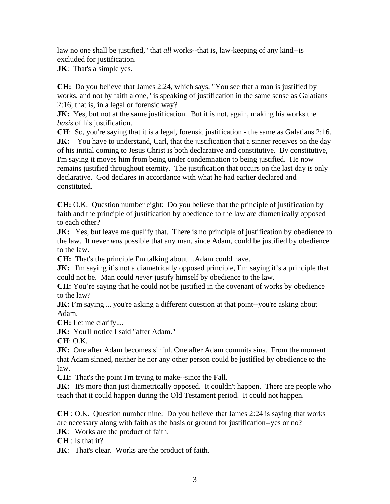law no one shall be justified," that *all* works--that is, law-keeping of any kind--is excluded for justification.

**JK**: That's a simple yes.

**CH:** Do you believe that James 2:24, which says, "You see that a man is justified by works, and not by faith alone," is speaking of justification in the same sense as Galatians 2:16; that is, in a legal or forensic way?

**JK:** Yes, but not at the same justification. But it is not, again, making his works the *basis* of his justification.

**CH**: So, you're saying that it is a legal, forensic justification - the same as Galatians 2:16. **JK:** You have to understand, Carl, that the justification that a sinner receives on the day of his initial coming to Jesus Christ is both declarative and constitutive. By constitutive, I'm saying it moves him from being under condemnation to being justified. He now remains justified throughout eternity. The justification that occurs on the last day is only declarative. God declares in accordance with what he had earlier declared and constituted.

**CH:** O.K. Question number eight: Do you believe that the principle of justification by faith and the principle of justification by obedience to the law are diametrically opposed to each other?

**JK:** Yes, but leave me qualify that. There is no principle of justification by obedience to the law. It never *was* possible that any man, since Adam, could be justified by obedience to the law.

**CH:** That's the principle I'm talking about....Adam could have.

**JK:** I'm saying it's not a diametrically opposed principle, I'm saying it's a principle that could not be. Man could *never* justify himself by obedience to the law.

**CH:** You're saying that he could not be justified in the covenant of works by obedience to the law?

**JK:** I'm saying ... you're asking a different question at that point--you're asking about Adam.

**CH:** Let me clarify....

**JK:** You'll notice I said "after Adam."

**CH**: O.K.

**JK:** One after Adam becomes sinful. One after Adam commits sins. From the moment that Adam sinned, neither he nor any other person could be justified by obedience to the law.

**CH:** That's the point I'm trying to make--since the Fall.

**JK:** It's more than just diametrically opposed. It couldn't happen. There are people who teach that it could happen during the Old Testament period. It could not happen.

**CH** : O.K. Question number nine: Do you believe that James 2:24 is saying that works are necessary along with faith as the basis or ground for justification--yes or no?

**JK:** Works are the product of faith.

**CH** : Is that it?

**JK**: That's clear. Works are the product of faith.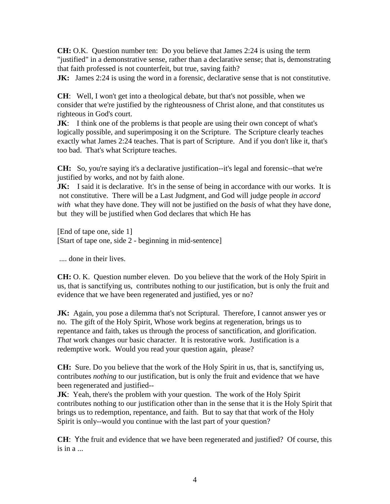**CH:** O.K. Question number ten: Do you believe that James 2:24 is using the term "justified" in a demonstrative sense, rather than a declarative sense; that is, demonstrating that faith professed is not counterfeit, but true, saving faith?

**JK:** James 2:24 is using the word in a forensic, declarative sense that is not constitutive.

**CH**: Well, I won't get into a theological debate, but that's not possible, when we consider that we're justified by the righteousness of Christ alone, and that constitutes us righteous in God's court.

**JK:** I think one of the problems is that people are using their own concept of what's logically possible, and superimposing it on the Scripture. The Scripture clearly teaches exactly what James 2:24 teaches. That is part of Scripture. And if you don't like it, that's too bad. That's what Scripture teaches.

**CH:** So, you're saying it's a declarative justification--it's legal and forensic--that we're justified by works, and not by faith alone.

**JK:** I said it is declarative. It's in the sense of being in accordance with our works. It is not constitutive. There will be a Last Judgment, and God will judge people *in accord with* what they have done. They will not be justified on the *basis* of what they have done, but they will be justified when God declares that which He has

[End of tape one, side 1] [Start of tape one, side 2 - beginning in mid-sentence]

.... done in their lives.

**CH:** O. K. Question number eleven. Do you believe that the work of the Holy Spirit in us, that is sanctifying us, contributes nothing to our justification, but is only the fruit and evidence that we have been regenerated and justified, yes or no?

**JK:** Again, you pose a dilemma that's not Scriptural. Therefore, I cannot answer yes or no. The gift of the Holy Spirit, Whose work begins at regeneration, brings us to repentance and faith, takes us through the process of sanctification, and glorification. *That* work changes our basic character. It is restorative work. Justification is a redemptive work. Would you read your question again, please?

**CH:** Sure. Do you believe that the work of the Holy Spirit in us, that is, sanctifying us, contributes *nothing* to our justification, but is only the fruit and evidence that we have been regenerated and justified--

**JK**: Yeah, there's the problem with your question. The work of the Holy Spirit contributes nothing to our justification other than in the sense that it is the Holy Spirit that brings us to redemption, repentance, and faith. But to say that that work of the Holy Spirit is only--would you continue with the last part of your question?

**CH**: Ythe fruit and evidence that we have been regenerated and justified? Of course, this is in a ...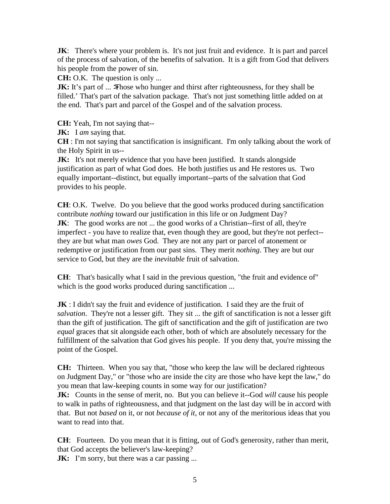**JK:** There's where your problem is. It's not just fruit and evidence. It is part and parcel of the process of salvation, of the benefits of salvation. It is a gift from God that delivers his people from the power of sin.

**CH:** O.K. The question is only ...

**JK:** It's part of ... >Those who hunger and thirst after righteousness, for they shall be filled.' That's part of the salvation package. That's not just something little added on at the end. That's part and parcel of the Gospel and of the salvation process.

**CH:** Yeah, I'm not saying that--

**JK:** I *am* saying that.

**CH** : I'm not saying that sanctification is insignificant. I'm only talking about the work of the Holy Spirit in us--

**JK:** It's not merely evidence that you have been justified. It stands alongside justification as part of what God does. He both justifies us and He restores us. Two equally important--distinct, but equally important--parts of the salvation that God provides to his people.

**CH**: O.K. Twelve. Do you believe that the good works produced during sanctification contribute *nothing* toward our justification in this life or on Judgment Day? **JK**: The good works are not ... the good works of a Christian-first of all, they're imperfect - you have to realize that, even though they are good, but they're not perfect- they are but what man *owes* God. They are not any part or parcel of atonement or redemptive or justification from our past sins. They merit *nothing*. They are but our service to God, but they are the *inevitable* fruit of salvation.

**CH**: That's basically what I said in the previous question, "the fruit and evidence of" which is the good works produced during sanctification ...

**JK** : I didn't say the fruit and evidence of justification. I said they are the fruit of *salvation*. They're not a lesser gift. They sit ... the gift of sanctification is not a lesser gift than the gift of justification. The gift of sanctification and the gift of justification are two *equal* graces that sit alongside each other, both of which are absolutely necessary for the fulfillment of the salvation that God gives his people. If you deny that, you're missing the point of the Gospel.

**CH:** Thirteen. When you say that, "those who keep the law will be declared righteous on Judgment Day," or "those who are inside the city are those who have kept the law," do you mean that law-keeping counts in some way for our justification?

**JK:** Counts in the sense of merit, no. But you can believe it--God *will* cause his people to walk in paths of righteousness, and that judgment on the last day will be in accord with that. But not *based* on it, or not *because of it*, or not any of the meritorious ideas that you want to read into that.

**CH**: Fourteen. Do you mean that it is fitting, out of God's generosity, rather than merit, that God accepts the believer's law-keeping?

**JK:** I'm sorry, but there was a car passing ...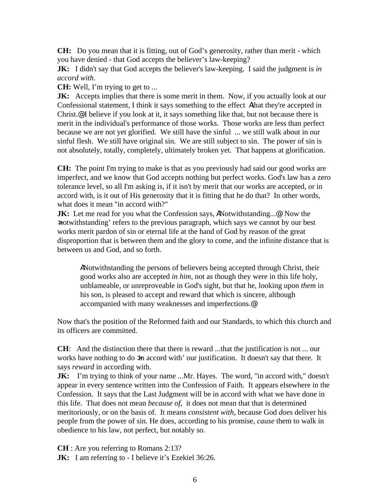**CH:** Do you mean that it is fitting, out of God's generosity, rather than merit - which you have denied - that God accepts the believer's law-keeping?

**JK:** I didn't say that God accepts the believer's law-keeping. I said the judgment is *in accord with*.

**CH:** Well, I'm trying to get to ...

**JK:** Accepts implies that there is some merit in them. Now, if you actually look at our Confessional statement, I think it says something to the effect Athat they're accepted in Christ.@ I believe if you look at it, it says something like that, but not because there is merit in the individual's performance of those works. Those works are less than perfect because we are not yet glorified. We still have the sinful ... we still walk about in our sinful flesh. We still have original sin. We are still subject to sin. The power of sin is not absolutely, totally, completely, ultimately broken yet. That happens at glorification.

**CH:** The point I'm trying to make is that as you previously had said our good works are imperfect, and we know that God accepts nothing but perfect works. God's law has a zero tolerance level, so all I'm asking is, if it isn't by merit that our works are accepted, or in accord with, is it out of His generosity that it is fitting that he do that? In other words, what does it mean "in accord with?"

**JK:** Let me read for you what the Confession says, ANotwithstanding...@ Now the >notwithstanding' refers to the previous paragraph, which says we cannot by our best works merit pardon of sin or eternal life at the hand of God by reason of the great disproportion that is between them and the glory to come, and the infinite distance that is between us and God, and so forth.

ANotwithstanding the persons of believers being accepted through Christ, their good works also are accepted *in him*, not as though they were in this life holy, unblameable, or unreproveable in God's sight, but that he, looking upon *them* in his son, is pleased to accept and reward that which is sincere, although accompanied with many weaknesses and imperfections.@

Now that's the position of the Reformed faith and our Standards, to which this church and its officers are committed.

**CH**: And the distinction there that there is reward ...that the justification is not ... our works have nothing to do  $\sin$  accord with' our justification. It doesn't say that there. It says *reward* in according with.

**JK:** I'm trying to think of your name ...Mr. Hayes. The word, "in accord with," doesn't appear in every sentence written into the Confession of Faith. It appears elsewhere in the Confession. It says that the Last Judgment will be in accord with what we have done in this life. That does not mean *because of*, it does not mean that that is determined meritoriously, or on the basis of. It means *consistent with*, because God *does* deliver his people from the power of sin. He does, according to his promise, *cause* them to walk in obedience to his law, not perfect, but notably so.

**CH** : Are you referring to Romans 2:13?

**JK:** I am referring to - I believe it's Ezekiel 36:26.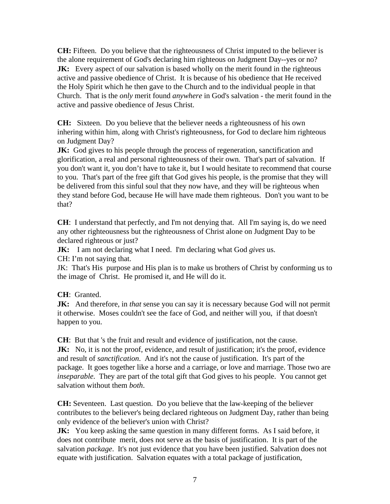**CH:** Fifteen. Do you believe that the righteousness of Christ imputed to the believer is the alone requirement of God's declaring him righteous on Judgment Day--yes or no? **JK:** Every aspect of our salvation is based wholly on the merit found in the righteous active and passive obedience of Christ. It is because of his obedience that He received the Holy Spirit which he then gave to the Church and to the individual people in that Church. That is the *only* merit found *anywhere* in God's salvation - the merit found in the active and passive obedience of Jesus Christ.

**CH:** Sixteen. Do you believe that the believer needs a righteousness of his own inhering within him, along with Christ's righteousness, for God to declare him righteous on Judgment Day?

**JK:** God gives to his people through the process of regeneration, sanctification and glorification, a real and personal righteousness of their own. That's part of salvation. If you don't want it, you don't have to take it, but I would hesitate to recommend that course to you. That's part of the free gift that God gives his people, is the promise that they will be delivered from this sinful soul that they now have, and they will be righteous when they stand before God, because He will have made them righteous. Don't you want to be that?

**CH**: I understand that perfectly, and I'm not denying that. All I'm saying is, do we need any other righteousness but the righteousness of Christ alone on Judgment Day to be declared righteous or just?

**JK:** I am not declaring what I need. I'm declaring what God *gives* us. CH: I'm not saying that.

JK: That's His purpose and His plan is to make us brothers of Christ by conforming us to the image of Christ. He promised it, and He will do it.

**CH**: Granted.

**JK:** And therefore, in *that* sense you can say it is necessary because God will not permit it otherwise. Moses couldn't see the face of God, and neither will you, if that doesn't happen to you.

**CH**: But that 's the fruit and result and evidence of justification, not the cause. **JK:** No, it is not the proof, evidence, and result of justification; it's the proof, evidence and result of *sanctification*. And it's not the cause of justification. It's part of the package. It goes together like a horse and a carriage, or love and marriage. Those two are *inseparable*. They are part of the total gift that God gives to his people. You cannot get salvation without them *both*.

**CH:** Seventeen. Last question. Do you believe that the law-keeping of the believer contributes to the believer's being declared righteous on Judgment Day, rather than being only evidence of the believer's union with Christ?

**JK:** You keep asking the same question in many different forms. As I said before, it does not contribute merit, does not serve as the basis of justification. It is part of the salvation *package*. It's not just evidence that you have been justified. Salvation does not equate with justification. Salvation equates with a total package of justification,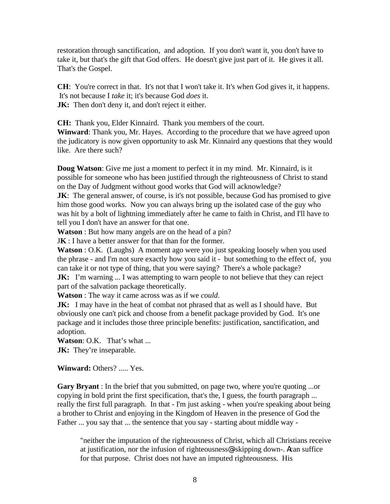restoration through sanctification, and adoption. If you don't want it, you don't have to take it, but that's the gift that God offers. He doesn't give just part of it. He gives it all. That's the Gospel.

**CH**: You're correct in that. It's not that I won't take it. It's when God gives it, it happens. It's not because I *take* it; it's because God *does* it. **JK:** Then don't deny it, and don't reject it either.

**CH:** Thank you, Elder Kinnaird. Thank you members of the court.

**Winward**: Thank you, Mr. Hayes. According to the procedure that we have agreed upon the judicatory is now given opportunity to ask Mr. Kinnaird any questions that they would like. Are there such?

**Doug Watson**: Give me just a moment to perfect it in my mind. Mr. Kinnaird, is it possible for someone who has been justified through the righteousness of Christ to stand on the Day of Judgment without good works that God will acknowledge?

**JK**: The general answer, of course, is it's not possible, because God has promised to give him those good works. Now you can always bring up the isolated case of the guy who was hit by a bolt of lightning immediately after he came to faith in Christ, and I'll have to tell you I don't have an answer for that one.

**Watson** : But how many angels are on the head of a pin?

J**K** : I have a better answer for that than for the former.

**Watson** : O.K. (Laughs) A moment ago were you just speaking loosely when you used the phrase - and I'm not sure exactly how you said it - but something to the effect of, you can take it or not type of thing, that you were saying? There's a whole package?

**JK:** I'm warning ... I was attempting to warn people to not believe that they can reject part of the salvation package theoretically.

**Watson** : The way it came across was as if we *could*.

**JK:** I may have in the heat of combat not phrased that as well as I should have. But obviously one can't pick and choose from a benefit package provided by God. It's one package and it includes those three principle benefits: justification, sanctification, and adoption.

**Watson**: O.K. That's what ... **JK:** They're inseparable.

**Winward:** Others? ..... Yes.

**Gary Bryant** : In the brief that you submitted, on page two, where you're quoting ...or copying in bold print the first specification, that's the, I guess, the fourth paragraph ... really the first full paragraph. In that - I'm just asking - when you're speaking about being a brother to Christ and enjoying in the Kingdom of Heaven in the presence of God the Father ... you say that ... the sentence that you say - starting about middle way -

"neither the imputation of the righteousness of Christ, which all Christians receive at justification, nor the infusion of righteousness@ -skipping down-. Acan suffice for that purpose. Christ does not have an imputed righteousness. His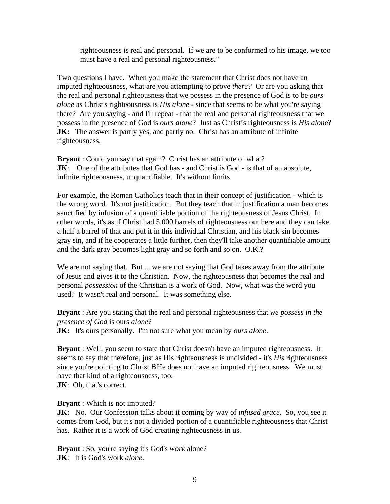righteousness is real and personal. If we are to be conformed to his image, we too must have a real and personal righteousness."

Two questions I have. When you make the statement that Christ does not have an imputed righteousness, what are you attempting to prove *there?* Or are you asking that the real and personal righteousness that we possess in the presence of God is to be *ours alone* as Christ's righteousness is *His alone* - since that seems to be what you're saying there? Are you saying - and I'll repeat - that the real and personal righteousness that we possess in the presence of God is *ours alone*? Just as Christ's righteousness is *His alone*? **JK:** The answer is partly yes, and partly no. Christ has an attribute of infinite righteousness.

**Bryant** : Could you say that again? Christ has an attribute of what? **JK:** One of the attributes that God has - and Christ is God - is that of an absolute, infinite righteousness, unquantifiable. It's without limits.

For example, the Roman Catholics teach that in their concept of justification - which is the wrong word. It's not justification. But they teach that in justification a man becomes sanctified by infusion of a quantifiable portion of the righteousness of Jesus Christ. In other words, it's as if Christ had 5,000 barrels of righteousness out here and they can take a half a barrel of that and put it in this individual Christian, and his black sin becomes gray sin, and if he cooperates a little further, then they'll take another quantifiable amount and the dark gray becomes light gray and so forth and so on. O.K.?

We are not saying that. But ... we are not saying that God takes away from the attribute of Jesus and gives it to the Christian. Now, the righteousness that becomes the real and personal *possession* of the Christian is a work of God. Now, what was the word you used? It wasn't real and personal. It was something else.

**Bryant** : Are you stating that the real and personal righteousness that *we possess in the presence of God* is ours *alone*?

**JK:** It's ours personally. I'm not sure what you mean by *ours alone*.

**Bryant** : Well, you seem to state that Christ doesn't have an imputed righteousness. It seems to say that therefore, just as His righteousness is undivided - it's *His* righteousness since you're pointing to Christ **B** He does not have an imputed righteousness. We must have that kind of a righteousness, too.

**JK**: Oh, that's correct.

**Bryant** : Which is not imputed?

**JK:** No. Our Confession talks about it coming by way of *infused grace*. So, you see it comes from God, but it's not a divided portion of a quantifiable righteousness that Christ has. Rather it is a work of God creating righteousness in us.

**Bryant** : So, you're saying it's God's *work* alone? **JK**: It is God's work *alone*.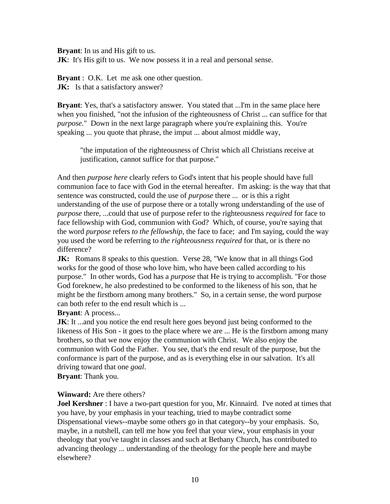**Bryant**: In us and His gift to us.

**JK**: It's His gift to us. We now possess it in a real and personal sense.

**Bryant** : O.K. Let me ask one other question. **JK:** Is that a satisfactory answer?

**Bryant**: Yes, that's a satisfactory answer. You stated that ...I'm in the same place here when you finished, "not the infusion of the righteousness of Christ ... can suffice for that *purpose*." Down in the next large paragraph where you're explaining this. You're speaking ... you quote that phrase, the imput ... about almost middle way,

"the imputation of the righteousness of Christ which all Christians receive at justification, cannot suffice for that purpose."

And then *purpose here* clearly refers to God's intent that his people should have full communion face to face with God in the eternal hereafter. I'm asking: is the way that that sentence was constructed, could the use of *purpose* there ... or is this a right understanding of the use of purpose there or a totally wrong understanding of the use of *purpose* there, ...could that use of purpose refer to the righteousness *required* for face to face fellowship with God, communion with God? Which, of course, you're saying that the word *purpose* refers *to the fellowship*, the face to face; and I'm saying, could the way you used the word be referring to *the righteousness required* for that, or is there no difference?

**JK:** Romans 8 speaks to this question. Verse 28, "We know that in all things God works for the good of those who love him, who have been called according to his purpose." In other words, God has a *purpose* that He is trying to accomplish. "For those God foreknew, he also predestined to be conformed to the likeness of his son, that he might be the firstborn among many brothers." So, in a certain sense, the word purpose can both refer to the end result which is ...

## **Bryant**: A process...

**JK**: It ...and you notice the end result here goes beyond just being conformed to the likeness of His Son - it goes to the place where we are ... He is the firstborn among many brothers, so that we now enjoy the communion with Christ. We also enjoy the communion with God the Father. You see, that's the end result of the purpose, but the conformance is part of the purpose, and as is everything else in our salvation. It's all driving toward that one *goal*.

**Bryant**: Thank you.

## **Winward:** Are there others?

**Joel Kershner** : I have a two-part question for you, Mr. Kinnaird. I've noted at times that you have, by your emphasis in your teaching, tried to maybe contradict some Dispensational views--maybe some others go in that category--by your emphasis. So, maybe, in a nutshell, can tell me how you feel that your view, your emphasis in your theology that you've taught in classes and such at Bethany Church, has contributed to advancing theology ... understanding of the theology for the people here and maybe elsewhere?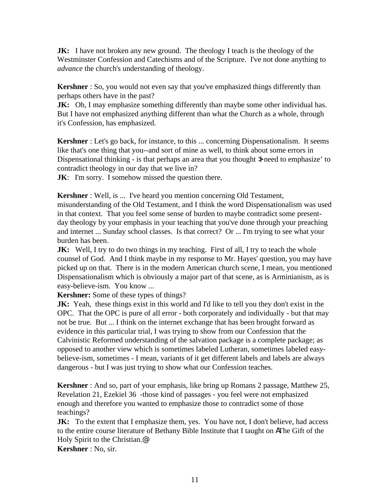**JK:** I have not broken any new ground. The theology I teach is the theology of the Westminster Confession and Catechisms and of the Scripture. I've not done anything to *advance* the church's understanding of theology.

**Kershner** : So, you would not even say that you've emphasized things differently than perhaps others have in the past?

**JK:** Oh, I may emphasize something differently than maybe some other individual has. But I have not emphasized anything different than what the Church as a whole, through it's Confession, has emphasized.

**Kershner** : Let's go back, for instance, to this ... concerning Dispensationalism. It seems like that's one thing that you--and sort of mine as well, to think about some errors in Dispensational thinking - is that perhaps an area that you thought  $\lambda$  need to emphasize' to contradict theology in our day that we live in?

**JK:** I'm sorry. I somehow missed the question there.

**Kershner** : Well, is ... I've heard you mention concerning Old Testament, misunderstanding of the Old Testament, and I think the word Dispensationalism was used in that context. That you feel some sense of burden to maybe contradict some presentday theology by your emphasis in your teaching that you've done through your preaching and internet ... Sunday school classes. Is that correct? Or ... I'm trying to see what your burden has been.

**JK:** Well, I try to do two things in my teaching. First of all, I try to teach the whole counsel of God. And I think maybe in my response to Mr. Hayes' question, you may have picked up on that. There is in the modern American church scene, I mean, you mentioned Dispensationalism which is obviously a major part of that scene, as is Arminianism, as is easy-believe-ism. You know ...

**Kershner:** Some of these types of things?

**JK:** Yeah, these things exist in this world and I'd like to tell you they don't exist in the OPC. That the OPC is pure of all error - both corporately and individually - but that may not be true. But ... I think on the internet exchange that has been brought forward as evidence in this particular trial, I was trying to show from our Confession that the Calvinistic Reformed understanding of the salvation package is a complete package; as opposed to another view which is sometimes labeled Lutheran, sometimes labeled easybelieve-ism, sometimes - I mean, variants of it get different labels and labels are always dangerous - but I was just trying to show what our Confession teaches.

**Kershner** : And so, part of your emphasis, like bring up Romans 2 passage, Matthew 25, Revelation 21, Ezekiel 36 -those kind of passages - you feel were not emphasized enough and therefore you wanted to emphasize those to contradict some of those teachings?

**JK:** To the extent that I emphasize them, yes. You have not, I don't believe, had access to the entire course literature of Bethany Bible Institute that I taught on AThe Gift of the Holy Spirit to the Christian.@

**Kershner** : No, sir.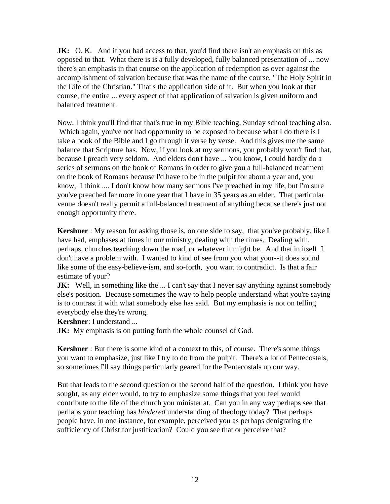**JK:** O. K. And if you had access to that, you'd find there isn't an emphasis on this as opposed to that. What there is is a fully developed, fully balanced presentation of ... now there's an emphasis in that course on the application of redemption as over against the accomplishment of salvation because that was the name of the course, "The Holy Spirit in the Life of the Christian." That's the application side of it. But when you look at that course, the entire ... every aspect of that application of salvation is given uniform and balanced treatment.

Now, I think you'll find that that's true in my Bible teaching, Sunday school teaching also. Which again, you've not had opportunity to be exposed to because what I do there is I take a book of the Bible and I go through it verse by verse. And this gives me the same balance that Scripture has. Now, if you look at my sermons, you probably won't find that, because I preach very seldom. And elders don't have ... You know, I could hardly do a series of sermons on the book of Romans in order to give you a full-balanced treatment on the book of Romans because I'd have to be in the pulpit for about a year and, you know, I think .... I don't know how many sermons I've preached in my life, but I'm sure you've preached far more in one year that I have in 35 years as an elder. That particular venue doesn't really permit a full-balanced treatment of anything because there's just not enough opportunity there.

**Kershner** : My reason for asking those is, on one side to say, that you've probably, like I have had, emphases at times in our ministry, dealing with the times. Dealing with, perhaps, churches teaching down the road, or whatever it might be. And that in itself I don't have a problem with. I wanted to kind of see from you what your--it does sound like some of the easy-believe-ism, and so-forth, you want to contradict. Is that a fair estimate of your?

**JK:** Well, in something like the ... I can't say that I never say anything against somebody else's position. Because sometimes the way to help people understand what you're saying is to contrast it with what somebody else has said. But my emphasis is not on telling everybody else they're wrong.

**Kershner**: I understand ...

**JK:** My emphasis is on putting forth the whole counsel of God.

**Kershner** : But there is some kind of a context to this, of course. There's some things you want to emphasize, just like I try to do from the pulpit. There's a lot of Pentecostals, so sometimes I'll say things particularly geared for the Pentecostals up our way.

But that leads to the second question or the second half of the question. I think you have sought, as any elder would, to try to emphasize some things that you feel would contribute to the life of the church you minister at. Can you in any way perhaps see that perhaps your teaching has *hindered* understanding of theology today? That perhaps people have, in one instance, for example, perceived you as perhaps denigrating the sufficiency of Christ for justification? Could you see that or perceive that?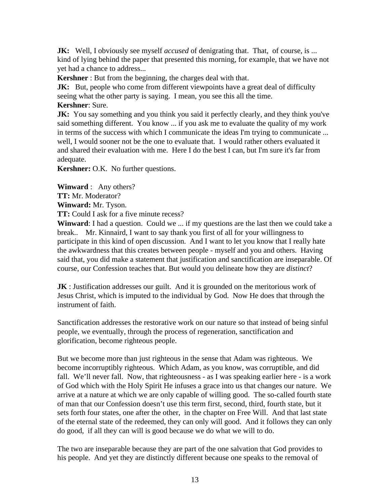**JK:** Well, I obviously see myself *accused* of denigrating that. That, of course, is ... kind of lying behind the paper that presented this morning, for example, that we have not yet had a chance to address...

**Kershner** : But from the beginning, the charges deal with that.

**JK:** But, people who come from different viewpoints have a great deal of difficulty seeing what the other party is saying. I mean, you see this all the time. **Kershner**: Sure.

**JK:** You say something and you think you said it perfectly clearly, and they think you've said something different. You know ... if you ask me to evaluate the quality of my work in terms of the success with which I communicate the ideas I'm trying to communicate ... well, I would sooner not be the one to evaluate that. I would rather others evaluated it and shared their evaluation with me. Here I do the best I can, but I'm sure it's far from

adequate.

**Kershner:** O.K. No further questions.

**Winward** : Any others?

**TT:** Mr. Moderator?

**Winward:** Mr. Tyson.

**TT:** Could I ask for a five minute recess?

**Winward**: I had a question. Could we ... if my questions are the last then we could take a break.. Mr. Kinnaird, I want to say thank you first of all for your willingness to participate in this kind of open discussion. And I want to let you know that I really hate the awkwardness that this creates between people - myself and you and others. Having said that, you did make a statement that justification and sanctification are inseparable. Of course, our Confession teaches that. But would you delineate how they are *distinct*?

**JK** : Justification addresses our guilt. And it is grounded on the meritorious work of Jesus Christ, which is imputed to the individual by God. Now He does that through the instrument of faith.

Sanctification addresses the restorative work on our nature so that instead of being sinful people, we eventually, through the process of regeneration, sanctification and glorification, become righteous people.

But we become more than just righteous in the sense that Adam was righteous. We become incorruptibly righteous. Which Adam, as you know, was corruptible, and did fall. We'll never fall. Now, that righteousness - as I was speaking earlier here - is a work of God which with the Holy Spirit He infuses a grace into us that changes our nature. We arrive at a nature at which we are only capable of willing good. The so-called fourth state of man that our Confession doesn't use this term first, second, third, fourth state, but it sets forth four states, one after the other, in the chapter on Free Will. And that last state of the eternal state of the redeemed, they can only will good. And it follows they can only do good, if all they can will is good because we do what we will to do.

The two are inseparable because they are part of the one salvation that God provides to his people. And yet they are distinctly different because one speaks to the removal of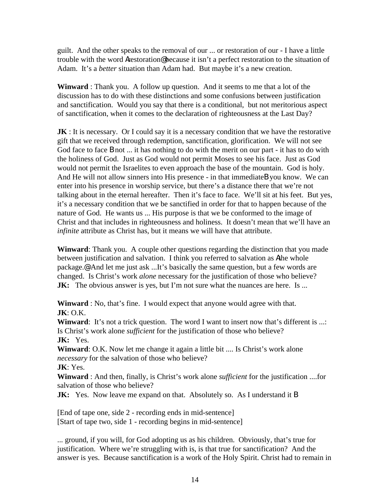guilt. And the other speaks to the removal of our ... or restoration of our - I have a little trouble with the word Arestoration@ because it isn't a perfect restoration to the situation of Adam. It's a *better* situation than Adam had. But maybe it's a new creation.

**Winward** : Thank you. A follow up question. And it seems to me that a lot of the discussion has to do with these distinctions and some confusions between justification and sanctification. Would you say that there is a conditional, but not meritorious aspect of sanctification, when it comes to the declaration of righteousness at the Last Day?

**JK**: It is necessary. Or I could say it is a necessary condition that we have the restorative gift that we received through redemption, sanctification, glorification. We will not see God face to face **B** not ... it has nothing to do with the merit on our part - it has to do with the holiness of God. Just as God would not permit Moses to see his face. Just as God would not permit the Israelites to even approach the base of the mountain. God is holy. And He will not allow sinners into His presence - in that immediateB you know. We can enter into his presence in worship service, but there's a distance there that we're not talking about in the eternal hereafter. Then it's face to face. We'll sit at his feet. But yes, it's a necessary condition that we be sanctified in order for that to happen because of the nature of God. He wants us ... His purpose is that we be conformed to the image of Christ and that includes in righteousness and holiness. It doesn't mean that we'll have an *infinite* attribute as Christ has, but it means we will have that attribute.

**Winward**: Thank you. A couple other questions regarding the distinction that you made between justification and salvation. I think you referred to salvation as Athe whole package.@ And let me just ask ...It's basically the same question, but a few words are changed. Is Christ's work *alone* necessary for the justification of those who believe? **JK:** The obvious answer is yes, but I'm not sure what the nuances are here. Is ...

**Winward** : No, that's fine. I would expect that anyone would agree with that. **JK**: O.K.

**Winward:** It's not a trick question. The word I want to insert now that's different is ...: Is Christ's work alone *sufficient* for the justification of those who believe? **JK:** Yes.

**Winward**: O.K. Now let me change it again a little bit .... Is Christ's work alone *necessary* for the salvation of those who believe?

**JK**: Yes.

**Winward** : And then, finally, is Christ's work alone *sufficient* for the justification ....for salvation of those who believe?

**JK:** Yes. Now leave me expand on that. Absolutely so. As I understand it **B** 

[End of tape one, side 2 - recording ends in mid-sentence] [Start of tape two, side 1 - recording begins in mid-sentence]

... ground, if you will, for God adopting us as his children. Obviously, that's true for justification. Where we're struggling with is, is that true for sanctification? And the answer is yes. Because sanctification is a work of the Holy Spirit. Christ had to remain in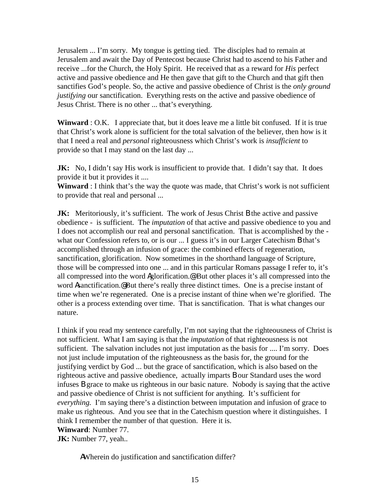Jerusalem ... I'm sorry. My tongue is getting tied. The disciples had to remain at Jerusalem and await the Day of Pentecost because Christ had to ascend to his Father and receive ...for the Church, the Holy Spirit. He received that as a reward for *His* perfect active and passive obedience and He then gave that gift to the Church and that gift then sanctifies God's people. So, the active and passive obedience of Christ is the *only ground justifying* our sanctification. Everything rests on the active and passive obedience of Jesus Christ. There is no other ... that's everything.

**Winward** : O.K. I appreciate that, but it does leave me a little bit confused. If it is true that Christ's work alone is sufficient for the total salvation of the believer, then how is it that I need a real and *personal* righteousness which Christ's work is *insufficient* to provide so that I may stand on the last day ...

**JK:** No, I didn't say His work is insufficient to provide that. I didn't say that. It does provide it but it provides it ....

**Winward** : I think that's the way the quote was made, that Christ's work is not sufficient to provide that real and personal ...

**JK:** Meritoriously, it's sufficient. The work of Jesus Christ **B** the active and passive obedience - is sufficient. The *imputation* of that active and passive obedience to you and I does not accomplish our real and personal sanctification. That is accomplished by the what our Confession refers to, or is our ... I guess it's in our Larger Catechism B that's accomplished through an infusion of grace: the combined effects of regeneration, sanctification, glorification. Now sometimes in the shorthand language of Scripture, those will be compressed into one ... and in this particular Romans passage I refer to, it's all compressed into the word Aglorification.@ But other places it's all compressed into the word Asanctification.@ But there's really three distinct times. One is a precise instant of time when we're regenerated. One is a precise instant of thine when we're glorified. The other is a process extending over time. That is sanctification. That is what changes our nature.

I think if you read my sentence carefully, I'm not saying that the righteousness of Christ is not sufficient. What I am saying is that the *imputation* of that righteousness is not sufficient. The salvation includes not just imputation as the basis for .... I'm sorry. Does not just include imputation of the righteousness as the basis for, the ground for the justifying verdict by God ... but the grace of sanctification, which is also based on the righteous active and passive obedience, actually imparts B our Standard uses the word infuses B grace to make us righteous in our basic nature. Nobody is saying that the active and passive obedience of Christ is not sufficient for anything. It's sufficient for *everything.* I'm saying there's a distinction between imputation and infusion of grace to make us righteous. And you see that in the Catechism question where it distinguishes. I think I remember the number of that question. Here it is. **Winward**: Number 77.

**JK:** Number 77, yeah..

AWherein do justification and sanctification differ?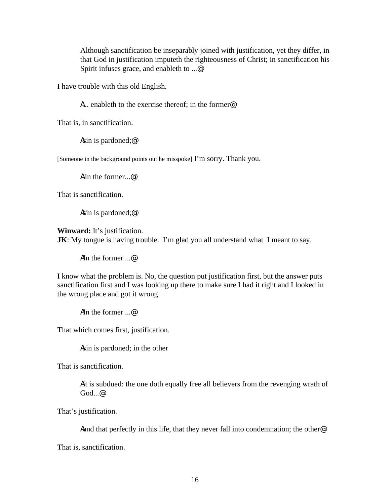Although sanctification be inseparably joined with justification, yet they differ, in that God in justification imputeth the righteousness of Christ; in sanctification his Spirit infuses grace, and enableth to ...@

I have trouble with this old English.

A... enableth to the exercise thereof; in the former@

That is, in sanctification.

Asin is pardoned;@

[Someone in the background points out he misspoke] I'm sorry. Thank you.

A in the former. @

That is sanctification.

Asin is pardoned;@

**Winward:** It's justification. **JK**: My tongue is having trouble. I'm glad you all understand what I meant to say.

AIn the former ...@

I know what the problem is. No, the question put justification first, but the answer puts sanctification first and I was looking up there to make sure I had it right and I looked in the wrong place and got it wrong.

AIn the former ...@

That which comes first, justification.

Asin is pardoned; in the other

That is sanctification.

Ait is subdued: the one doth equally free all believers from the revenging wrath of God...@

That's justification.

Aand that perfectly in this life, that they never fall into condemnation; the other@

That is, sanctification.